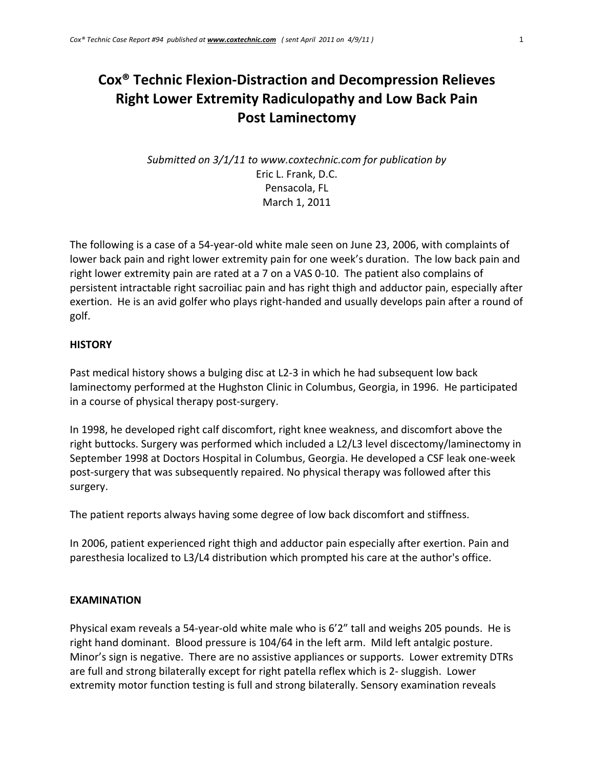# **Cox® Technic Flexion‐Distraction and Decompression Relieves Right Lower Extremity Radiculopathy and Low Back Pain Post Laminectomy**

# *Submitted on 3/1/11 to www.coxtechnic.com for publication by* Eric L. Frank, D.C. Pensacola, FL March 1, 2011

The following is a case of a 54‐year‐old white male seen on June 23, 2006, with complaints of lower back pain and right lower extremity pain for one week's duration. The low back pain and right lower extremity pain are rated at a 7 on a VAS 0‐10. The patient also complains of persistent intractable right sacroiliac pain and has right thigh and adductor pain, especially after exertion. He is an avid golfer who plays right-handed and usually develops pain after a round of golf.

### **HISTORY**

Past medical history shows a bulging disc at L2‐3 in which he had subsequent low back laminectomy performed at the Hughston Clinic in Columbus, Georgia, in 1996. He participated in a course of physical therapy post‐surgery.

In 1998, he developed right calf discomfort, right knee weakness, and discomfort above the right buttocks. Surgery was performed which included a L2/L3 level discectomy/laminectomy in September 1998 at Doctors Hospital in Columbus, Georgia. He developed a CSF leak one‐week post‐surgery that was subsequently repaired. No physical therapy was followed after this surgery.

The patient reports always having some degree of low back discomfort and stiffness.

In 2006, patient experienced right thigh and adductor pain especially after exertion. Pain and paresthesia localized to L3/L4 distribution which prompted his care at the author's office.

## **EXAMINATION**

Physical exam reveals a 54‐year‐old white male who is 6'2" tall and weighs 205 pounds. He is right hand dominant. Blood pressure is 104/64 in the left arm. Mild left antalgic posture. Minor's sign is negative. There are no assistive appliances or supports. Lower extremity DTRs are full and strong bilaterally except for right patella reflex which is 2‐ sluggish. Lower extremity motor function testing is full and strong bilaterally. Sensory examination reveals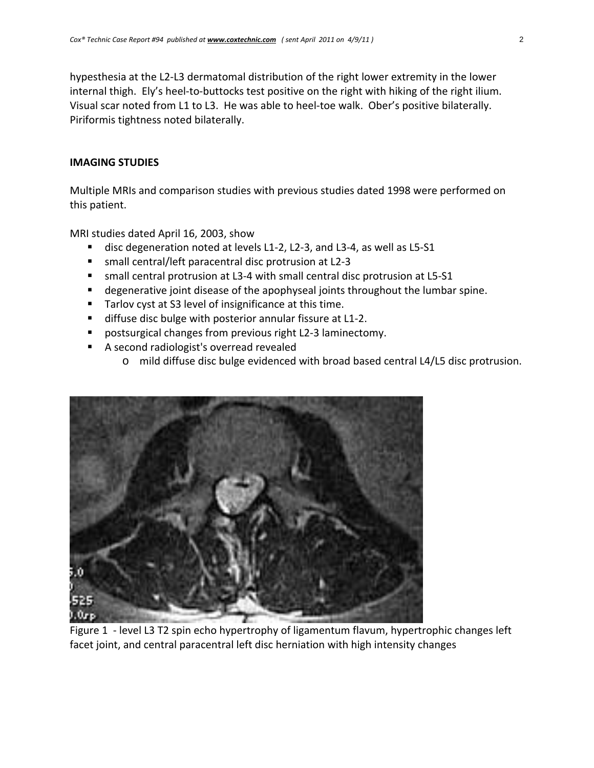hypesthesia at the L2‐L3 dermatomal distribution of the right lower extremity in the lower internal thigh. Ely's heel-to-buttocks test positive on the right with hiking of the right ilium. Visual scar noted from L1 to L3. He was able to heel‐toe walk. Ober's positive bilaterally. Piriformis tightness noted bilaterally.

#### **IMAGING STUDIES**

Multiple MRIs and comparison studies with previous studies dated 1998 were performed on this patient.

MRI studies dated April 16, 2003, show

- disc degeneration noted at levels L1-2, L2-3, and L3-4, as well as L5-S1
- small central/left paracentral disc protrusion at L2-3
- small central protrusion at L3-4 with small central disc protrusion at L5-S1
- **degenerative joint disease of the apophyseal joints throughout the lumbar spine.**
- Tarlov cyst at S3 level of insignificance at this time.
- diffuse disc bulge with posterior annular fissure at L1-2.
- postsurgical changes from previous right L2-3 laminectomy.
- A second radiologist's overread revealed
	- o mild diffuse disc bulge evidenced with broad based central L4/L5 disc protrusion.



Figure 1 - level L3 T2 spin echo hypertrophy of ligamentum flavum, hypertrophic changes left facet joint, and central paracentral left disc herniation with high intensity changes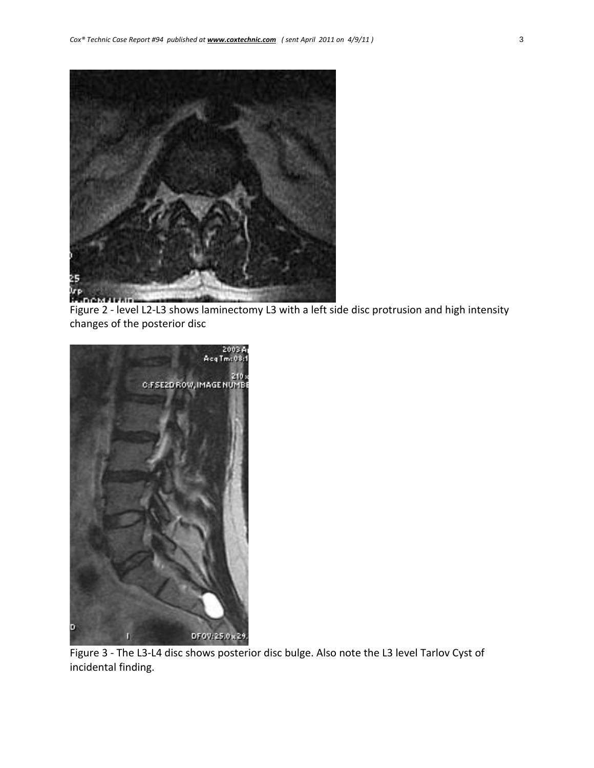

Figure 2 - level L2-L3 shows laminectomy L3 with a left side disc protrusion and high intensity changes of the posterior disc



Figure 3 - The L3-L4 disc shows posterior disc bulge. Also note the L3 level Tarlov Cyst of incidental finding.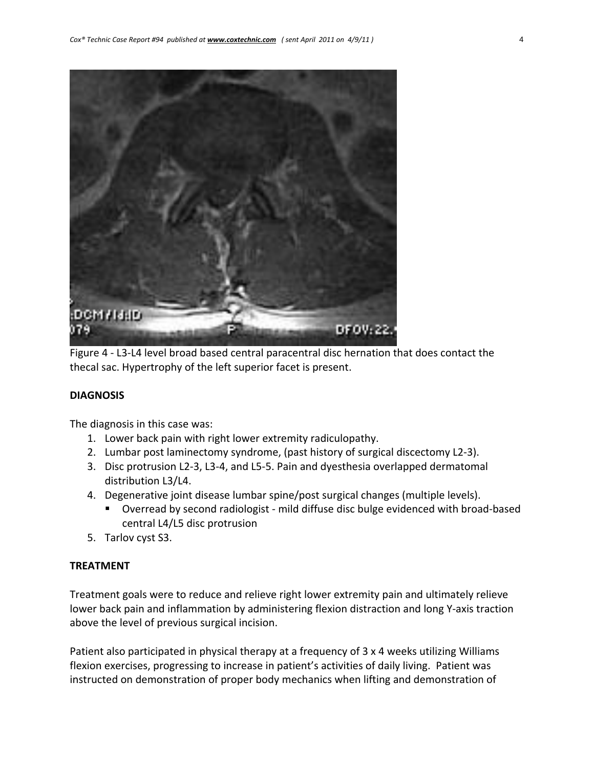

Figure 4 ‐ L3‐L4 level broad based central paracentral disc hernation that does contact the thecal sac. Hypertrophy of the left superior facet is present.

#### **DIAGNOSIS**

The diagnosis in this case was:

- 1. Lower back pain with right lower extremity radiculopathy.
- 2. Lumbar post laminectomy syndrome, (past history of surgical discectomy L2‐3).
- 3. Disc protrusion L2‐3, L3‐4, and L5‐5. Pain and dyesthesia overlapped dermatomal distribution L3/L4.
- 4. Degenerative joint disease lumbar spine/post surgical changes (multiple levels).
	- Overread by second radiologist mild diffuse disc bulge evidenced with broad-based central L4/L5 disc protrusion
- 5. Tarlov cyst S3.

#### **TREATMENT**

Treatment goals were to reduce and relieve right lower extremity pain and ultimately relieve lower back pain and inflammation by administering flexion distraction and long Y‐axis traction above the level of previous surgical incision.

Patient also participated in physical therapy at a frequency of 3 x 4 weeks utilizing Williams flexion exercises, progressing to increase in patient's activities of daily living. Patient was instructed on demonstration of proper body mechanics when lifting and demonstration of